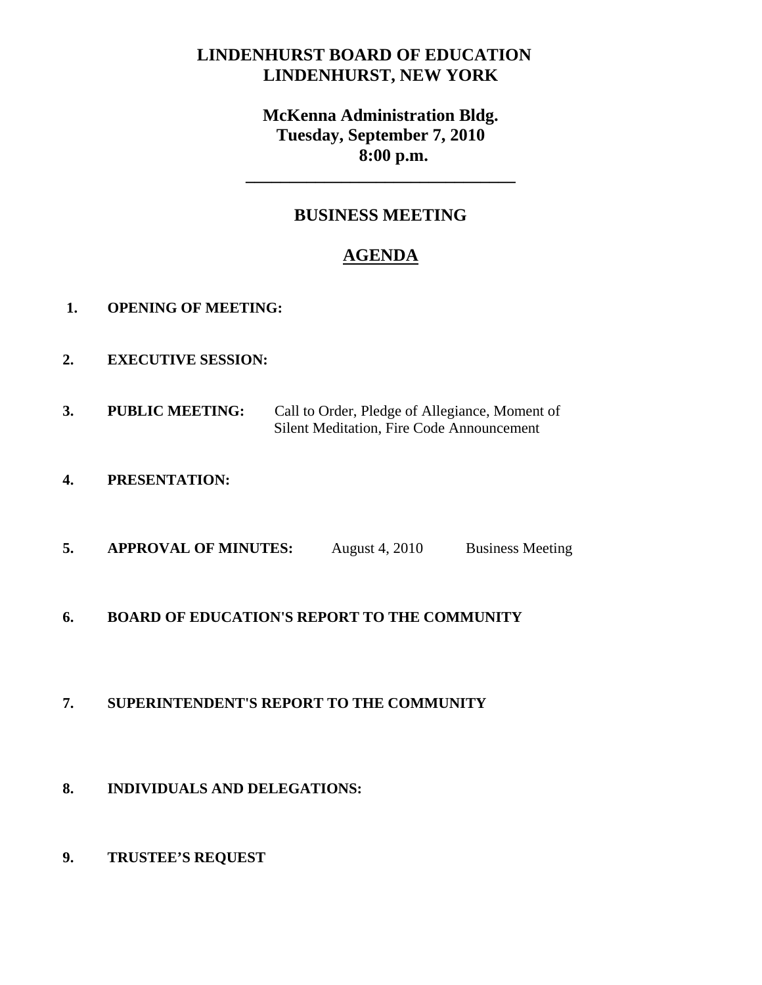# **LINDENHURST BOARD OF EDUCATION LINDENHURST, NEW YORK**

# **McKenna Administration Bldg. Tuesday, September 7, 2010 8:00 p.m.**

# **BUSINESS MEETING**

**\_\_\_\_\_\_\_\_\_\_\_\_\_\_\_\_\_\_\_\_\_\_\_\_\_\_\_\_\_\_\_** 

# **AGENDA**

- **1. OPENING OF MEETING:**
- **2. EXECUTIVE SESSION:**
- **3. PUBLIC MEETING:** Call to Order, Pledge of Allegiance, Moment of Silent Meditation, Fire Code Announcement
- **4. PRESENTATION:**
- **5. APPROVAL OF MINUTES:** August 4, 2010 Business Meeting
- **6. BOARD OF EDUCATION'S REPORT TO THE COMMUNITY**

# **7. SUPERINTENDENT'S REPORT TO THE COMMUNITY**

- **8. INDIVIDUALS AND DELEGATIONS:**
- **9. TRUSTEE'S REQUEST**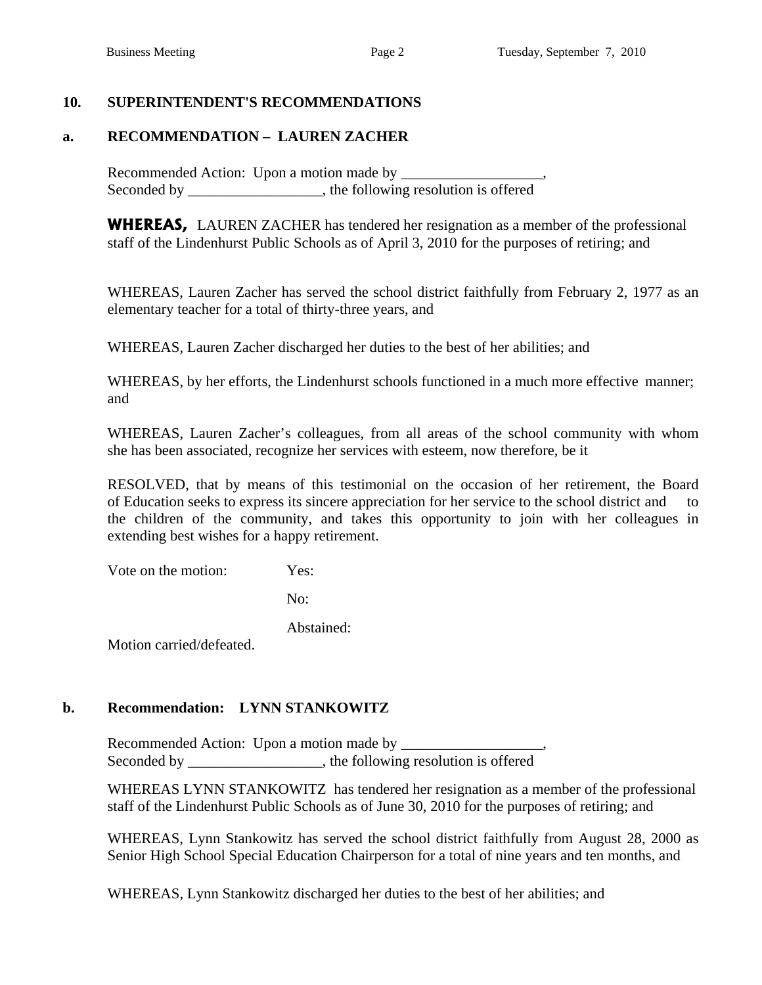### **10. SUPERINTENDENT'S RECOMMENDATIONS**

### **a. RECOMMENDATION – LAUREN ZACHER**

Recommended Action: Upon a motion made by Seconded by \_\_\_\_\_\_\_\_\_\_\_\_\_\_\_\_\_, the following resolution is offered

 **WHEREAS,** LAUREN ZACHER has tendered her resignation as a member of the professional staff of the Lindenhurst Public Schools as of April 3, 2010 for the purposes of retiring; and

 WHEREAS, Lauren Zacher has served the school district faithfully from February 2, 1977 as an elementary teacher for a total of thirty-three years, and

WHEREAS, Lauren Zacher discharged her duties to the best of her abilities; and

 WHEREAS, by her efforts, the Lindenhurst schools functioned in a much more effective manner; and

 WHEREAS, Lauren Zacher's colleagues, from all areas of the school community with whom she has been associated, recognize her services with esteem, now therefore, be it

 RESOLVED, that by means of this testimonial on the occasion of her retirement, the Board of Education seeks to express its sincere appreciation for her service to the school district and to the children of the community, and takes this opportunity to join with her colleagues in extending best wishes for a happy retirement.

Vote on the motion: Yes:

No:

Abstained:

Motion carried/defeated.

# **b. Recommendation: LYNN STANKOWITZ**

Recommended Action: Upon a motion made by Seconded by the following resolution is offered

 WHEREAS LYNN STANKOWITZ has tendered her resignation as a member of the professional staff of the Lindenhurst Public Schools as of June 30, 2010 for the purposes of retiring; and

 WHEREAS, Lynn Stankowitz has served the school district faithfully from August 28, 2000 as Senior High School Special Education Chairperson for a total of nine years and ten months, and

WHEREAS, Lynn Stankowitz discharged her duties to the best of her abilities; and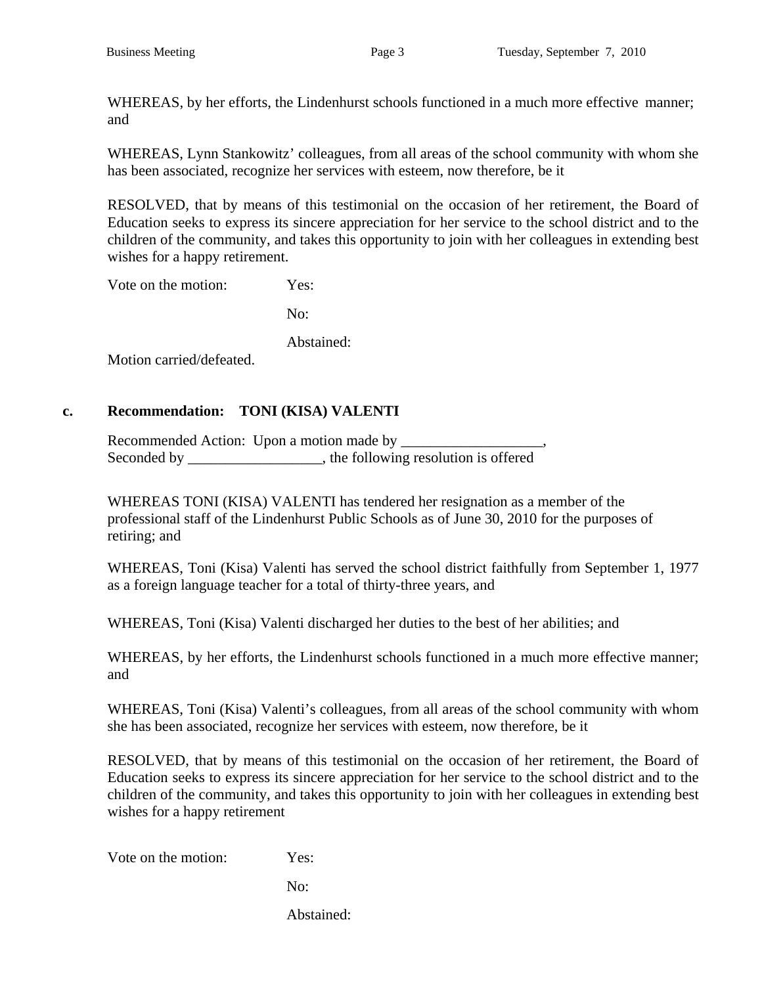WHEREAS, by her efforts, the Lindenhurst schools functioned in a much more effective manner; and

 WHEREAS, Lynn Stankowitz' colleagues, from all areas of the school community with whom she has been associated, recognize her services with esteem, now therefore, be it

 RESOLVED, that by means of this testimonial on the occasion of her retirement, the Board of Education seeks to express its sincere appreciation for her service to the school district and to the children of the community, and takes this opportunity to join with her colleagues in extending best wishes for a happy retirement.

Vote on the motion: Yes:

No:

Abstained:

Motion carried/defeated.

### **c. Recommendation: TONI (KISA) VALENTI**

 Recommended Action: Upon a motion made by \_\_\_\_\_\_\_\_\_\_\_\_\_\_\_\_\_\_\_, Seconded by \_\_\_\_\_\_\_\_\_\_\_\_\_\_\_, the following resolution is offered

WHEREAS TONI (KISA) VALENTI has tendered her resignation as a member of the professional staff of the Lindenhurst Public Schools as of June 30, 2010 for the purposes of retiring; and

 WHEREAS, Toni (Kisa) Valenti has served the school district faithfully from September 1, 1977 as a foreign language teacher for a total of thirty-three years, and

WHEREAS, Toni (Kisa) Valenti discharged her duties to the best of her abilities; and

 WHEREAS, by her efforts, the Lindenhurst schools functioned in a much more effective manner; and

 WHEREAS, Toni (Kisa) Valenti's colleagues, from all areas of the school community with whom she has been associated, recognize her services with esteem, now therefore, be it

RESOLVED, that by means of this testimonial on the occasion of her retirement, the Board of Education seeks to express its sincere appreciation for her service to the school district and to the children of the community, and takes this opportunity to join with her colleagues in extending best wishes for a happy retirement

Vote on the motion: Yes:

No:

Abstained: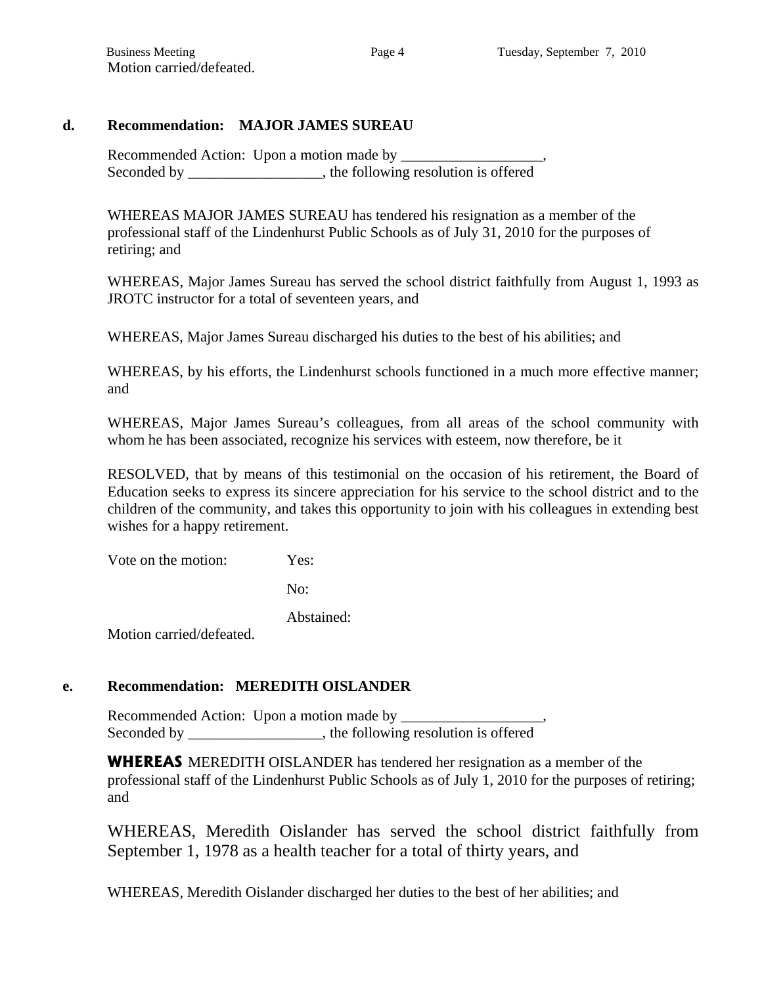### **d. Recommendation: MAJOR JAMES SUREAU**

 Recommended Action: Upon a motion made by \_\_\_\_\_\_\_\_\_\_\_\_\_\_\_\_\_\_\_, Seconded by \_\_\_\_\_\_\_\_\_\_\_\_\_\_\_, the following resolution is offered

WHEREAS MAJOR JAMES SUREAU has tendered his resignation as a member of the professional staff of the Lindenhurst Public Schools as of July 31, 2010 for the purposes of retiring; and

 WHEREAS, Major James Sureau has served the school district faithfully from August 1, 1993 as JROTC instructor for a total of seventeen years, and

WHEREAS, Major James Sureau discharged his duties to the best of his abilities; and

WHEREAS, by his efforts, the Lindenhurst schools functioned in a much more effective manner; and

 WHEREAS, Major James Sureau's colleagues, from all areas of the school community with whom he has been associated, recognize his services with esteem, now therefore, be it

 RESOLVED, that by means of this testimonial on the occasion of his retirement, the Board of Education seeks to express its sincere appreciation for his service to the school district and to the children of the community, and takes this opportunity to join with his colleagues in extending best wishes for a happy retirement.

Vote on the motion: Yes:

No:

Abstained:

Motion carried/defeated.

# **e. Recommendation: MEREDITH OISLANDER**

 Recommended Action: Upon a motion made by \_\_\_\_\_\_\_\_\_\_\_\_\_\_\_\_\_\_\_, Seconded by the following resolution is offered

**WHEREAS** MEREDITH OISLANDER has tendered her resignation as a member of the professional staff of the Lindenhurst Public Schools as of July 1, 2010 for the purposes of retiring; and

 WHEREAS, Meredith Oislander has served the school district faithfully from September 1, 1978 as a health teacher for a total of thirty years, and

WHEREAS, Meredith Oislander discharged her duties to the best of her abilities; and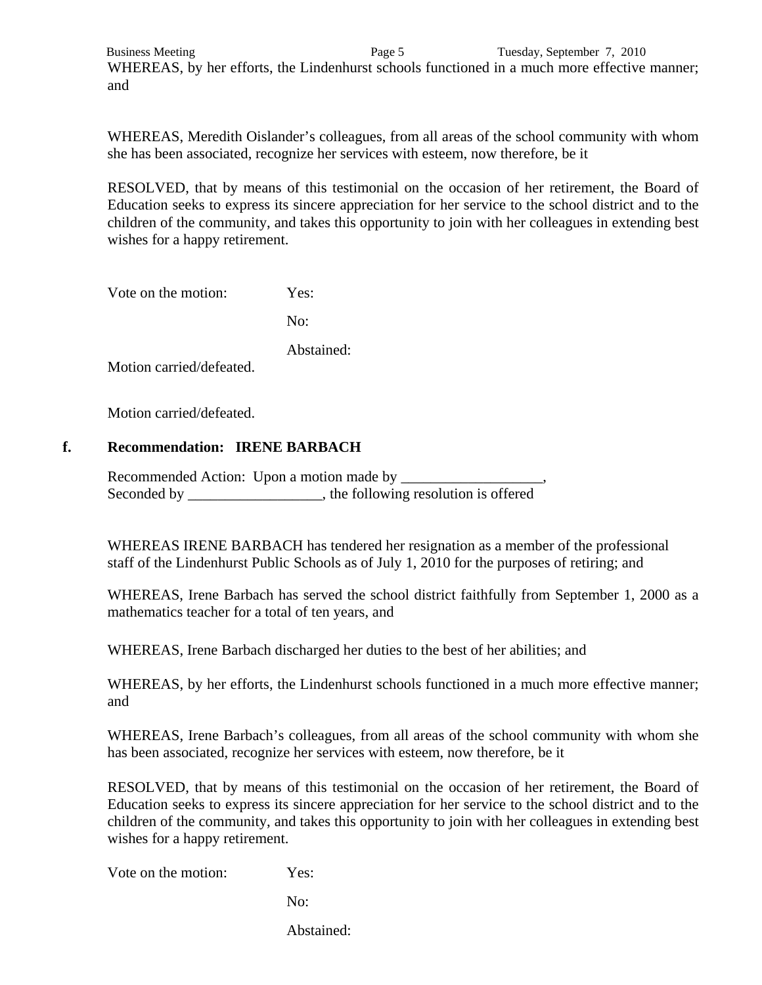Business Meeting **Page 5** Page 5 Tuesday, September 7, 2010 WHEREAS, by her efforts, the Lindenhurst schools functioned in a much more effective manner; and

 WHEREAS, Meredith Oislander's colleagues, from all areas of the school community with whom she has been associated, recognize her services with esteem, now therefore, be it

 RESOLVED, that by means of this testimonial on the occasion of her retirement, the Board of Education seeks to express its sincere appreciation for her service to the school district and to the children of the community, and takes this opportunity to join with her colleagues in extending best wishes for a happy retirement.

Vote on the motion: Yes:

No:

Abstained:

Motion carried/defeated.

Motion carried/defeated.

### **f. Recommendation: IRENE BARBACH**

 Recommended Action: Upon a motion made by \_\_\_\_\_\_\_\_\_\_\_\_\_\_\_\_\_\_\_, Seconded by the following resolution is offered

 WHEREAS IRENE BARBACH has tendered her resignation as a member of the professional staff of the Lindenhurst Public Schools as of July 1, 2010 for the purposes of retiring; and

 WHEREAS, Irene Barbach has served the school district faithfully from September 1, 2000 as a mathematics teacher for a total of ten years, and

WHEREAS, Irene Barbach discharged her duties to the best of her abilities; and

WHEREAS, by her efforts, the Lindenhurst schools functioned in a much more effective manner; and

 WHEREAS, Irene Barbach's colleagues, from all areas of the school community with whom she has been associated, recognize her services with esteem, now therefore, be it

 RESOLVED, that by means of this testimonial on the occasion of her retirement, the Board of Education seeks to express its sincere appreciation for her service to the school district and to the children of the community, and takes this opportunity to join with her colleagues in extending best wishes for a happy retirement.

Vote on the motion: Yes:

No:

Abstained: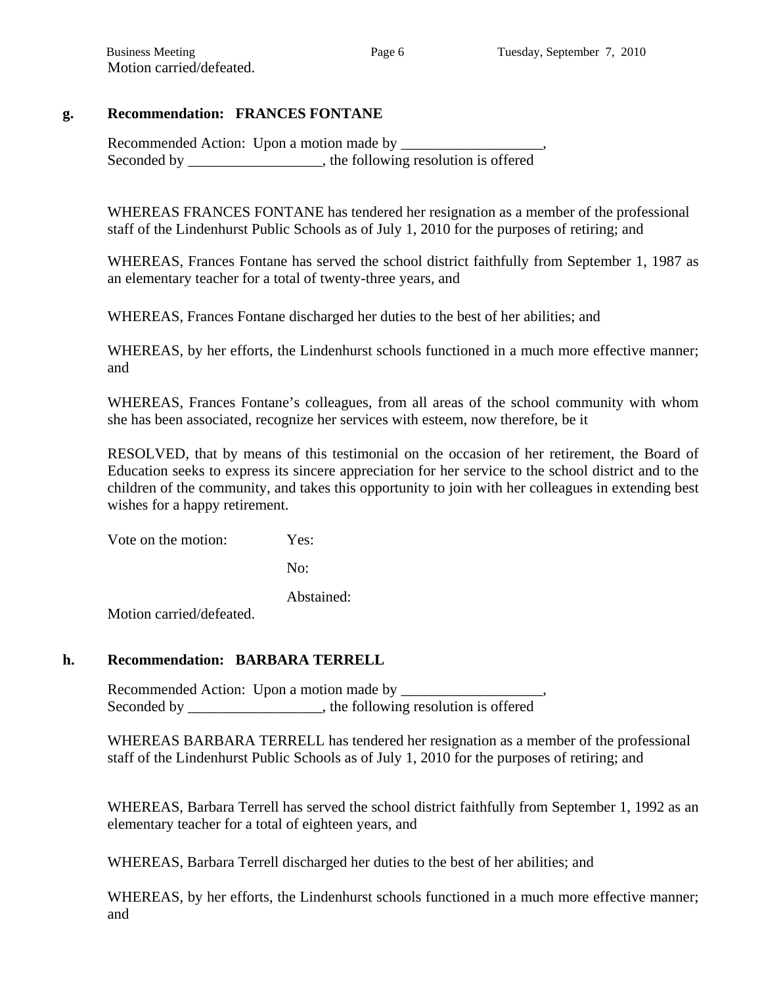# **g. Recommendation: FRANCES FONTANE**

 Recommended Action: Upon a motion made by \_\_\_\_\_\_\_\_\_\_\_\_\_\_\_\_\_\_\_, Seconded by \_\_\_\_\_\_\_\_\_\_\_\_\_\_\_\_\_, the following resolution is offered

 WHEREAS FRANCES FONTANE has tendered her resignation as a member of the professional staff of the Lindenhurst Public Schools as of July 1, 2010 for the purposes of retiring; and

 WHEREAS, Frances Fontane has served the school district faithfully from September 1, 1987 as an elementary teacher for a total of twenty-three years, and

WHEREAS, Frances Fontane discharged her duties to the best of her abilities; and

WHEREAS, by her efforts, the Lindenhurst schools functioned in a much more effective manner; and

 WHEREAS, Frances Fontane's colleagues, from all areas of the school community with whom she has been associated, recognize her services with esteem, now therefore, be it

 RESOLVED, that by means of this testimonial on the occasion of her retirement, the Board of Education seeks to express its sincere appreciation for her service to the school district and to the children of the community, and takes this opportunity to join with her colleagues in extending best wishes for a happy retirement.

Vote on the motion: Yes:

No:

Abstained:

Motion carried/defeated.

#### **h. Recommendation: BARBARA TERRELL**

 Recommended Action: Upon a motion made by \_\_\_\_\_\_\_\_\_\_\_\_\_\_\_\_\_\_\_, Seconded by the following resolution is offered

 WHEREAS BARBARA TERRELL has tendered her resignation as a member of the professional staff of the Lindenhurst Public Schools as of July 1, 2010 for the purposes of retiring; and

 WHEREAS, Barbara Terrell has served the school district faithfully from September 1, 1992 as an elementary teacher for a total of eighteen years, and

WHEREAS, Barbara Terrell discharged her duties to the best of her abilities; and

 WHEREAS, by her efforts, the Lindenhurst schools functioned in a much more effective manner; and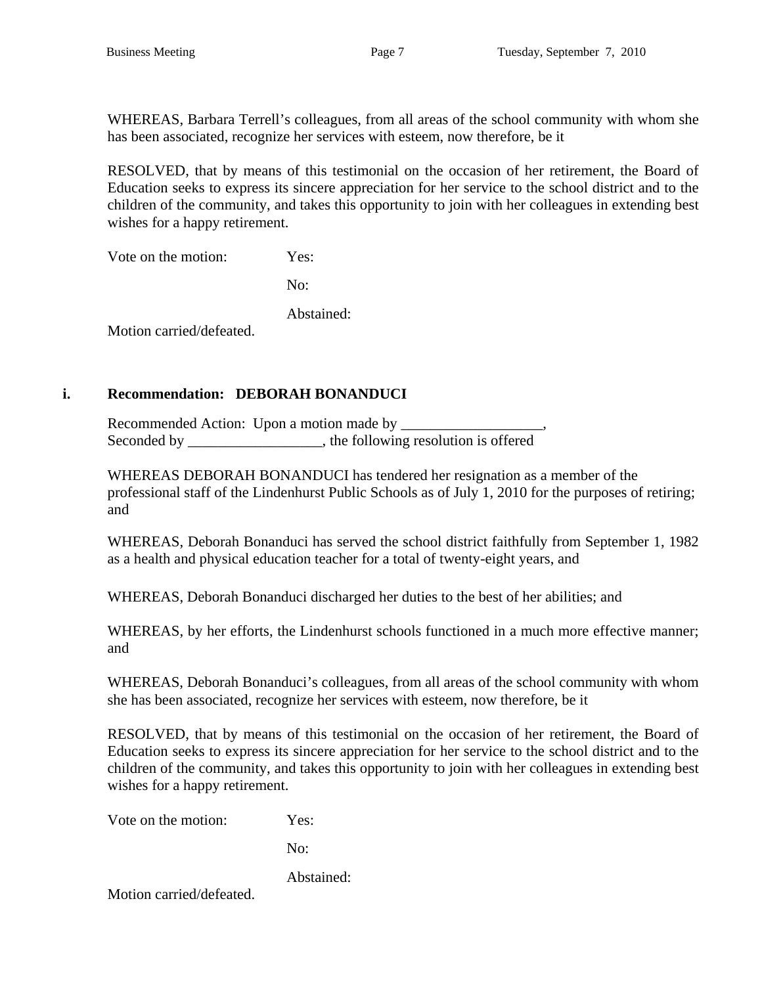WHEREAS, Barbara Terrell's colleagues, from all areas of the school community with whom she has been associated, recognize her services with esteem, now therefore, be it

 RESOLVED, that by means of this testimonial on the occasion of her retirement, the Board of Education seeks to express its sincere appreciation for her service to the school district and to the children of the community, and takes this opportunity to join with her colleagues in extending best wishes for a happy retirement.

Vote on the motion: Yes:

No:

Abstained:

Motion carried/defeated.

# **i. Recommendation: DEBORAH BONANDUCI**

 Recommended Action: Upon a motion made by \_\_\_\_\_\_\_\_\_\_\_\_\_\_\_\_\_\_\_, Seconded by \_\_\_\_\_\_\_\_\_\_\_\_\_\_\_\_, the following resolution is offered

 WHEREAS DEBORAH BONANDUCI has tendered her resignation as a member of the professional staff of the Lindenhurst Public Schools as of July 1, 2010 for the purposes of retiring; and

 WHEREAS, Deborah Bonanduci has served the school district faithfully from September 1, 1982 as a health and physical education teacher for a total of twenty-eight years, and

WHEREAS, Deborah Bonanduci discharged her duties to the best of her abilities; and

 WHEREAS, by her efforts, the Lindenhurst schools functioned in a much more effective manner; and

 WHEREAS, Deborah Bonanduci's colleagues, from all areas of the school community with whom she has been associated, recognize her services with esteem, now therefore, be it

 RESOLVED, that by means of this testimonial on the occasion of her retirement, the Board of Education seeks to express its sincere appreciation for her service to the school district and to the children of the community, and takes this opportunity to join with her colleagues in extending best wishes for a happy retirement.

Vote on the motion: Yes:

No:

Abstained:

Motion carried/defeated.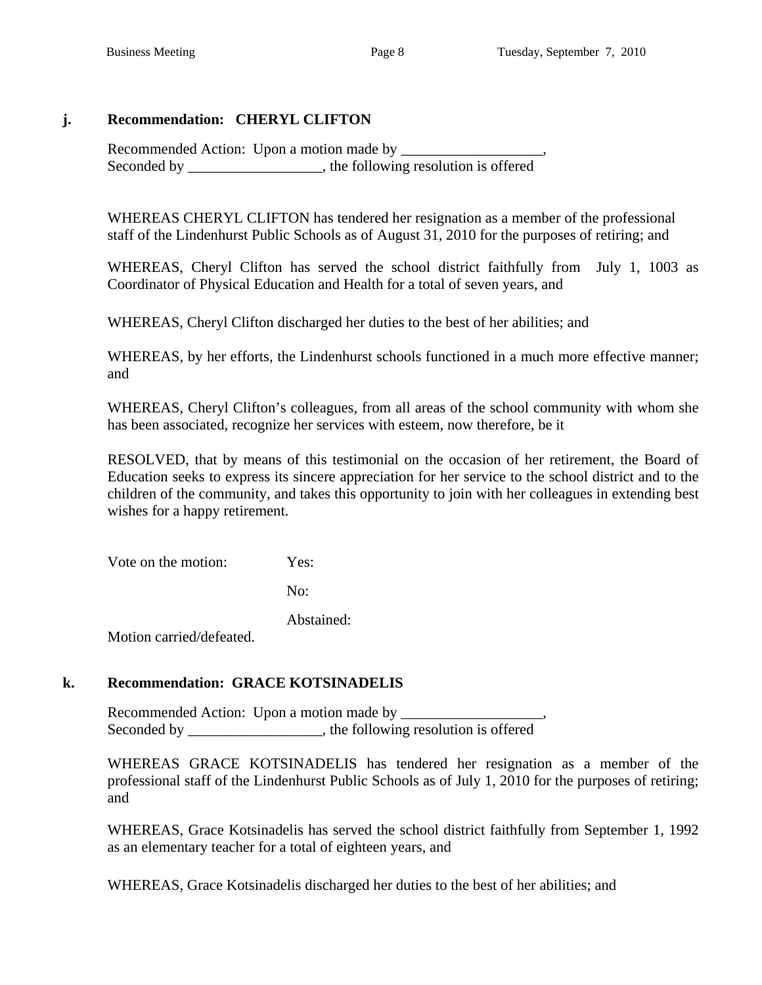# **j. Recommendation: CHERYL CLIFTON**

 Recommended Action: Upon a motion made by \_\_\_\_\_\_\_\_\_\_\_\_\_\_\_\_\_\_\_, Seconded by \_\_\_\_\_\_\_\_\_\_\_\_\_\_\_\_\_, the following resolution is offered

 WHEREAS CHERYL CLIFTON has tendered her resignation as a member of the professional staff of the Lindenhurst Public Schools as of August 31, 2010 for the purposes of retiring; and

 WHEREAS, Cheryl Clifton has served the school district faithfully from July 1, 1003 as Coordinator of Physical Education and Health for a total of seven years, and

WHEREAS, Cheryl Clifton discharged her duties to the best of her abilities; and

WHEREAS, by her efforts, the Lindenhurst schools functioned in a much more effective manner; and

 WHEREAS, Cheryl Clifton's colleagues, from all areas of the school community with whom she has been associated, recognize her services with esteem, now therefore, be it

 RESOLVED, that by means of this testimonial on the occasion of her retirement, the Board of Education seeks to express its sincere appreciation for her service to the school district and to the children of the community, and takes this opportunity to join with her colleagues in extending best wishes for a happy retirement.

Vote on the motion: Yes:

No:

Abstained:

Motion carried/defeated.

# **k. Recommendation: GRACE KOTSINADELIS**

Recommended Action: Upon a motion made by Seconded by \_\_\_\_\_\_\_\_\_\_\_\_\_\_\_\_, the following resolution is offered

 WHEREAS GRACE KOTSINADELIS has tendered her resignation as a member of the professional staff of the Lindenhurst Public Schools as of July 1, 2010 for the purposes of retiring; and

 WHEREAS, Grace Kotsinadelis has served the school district faithfully from September 1, 1992 as an elementary teacher for a total of eighteen years, and

WHEREAS, Grace Kotsinadelis discharged her duties to the best of her abilities; and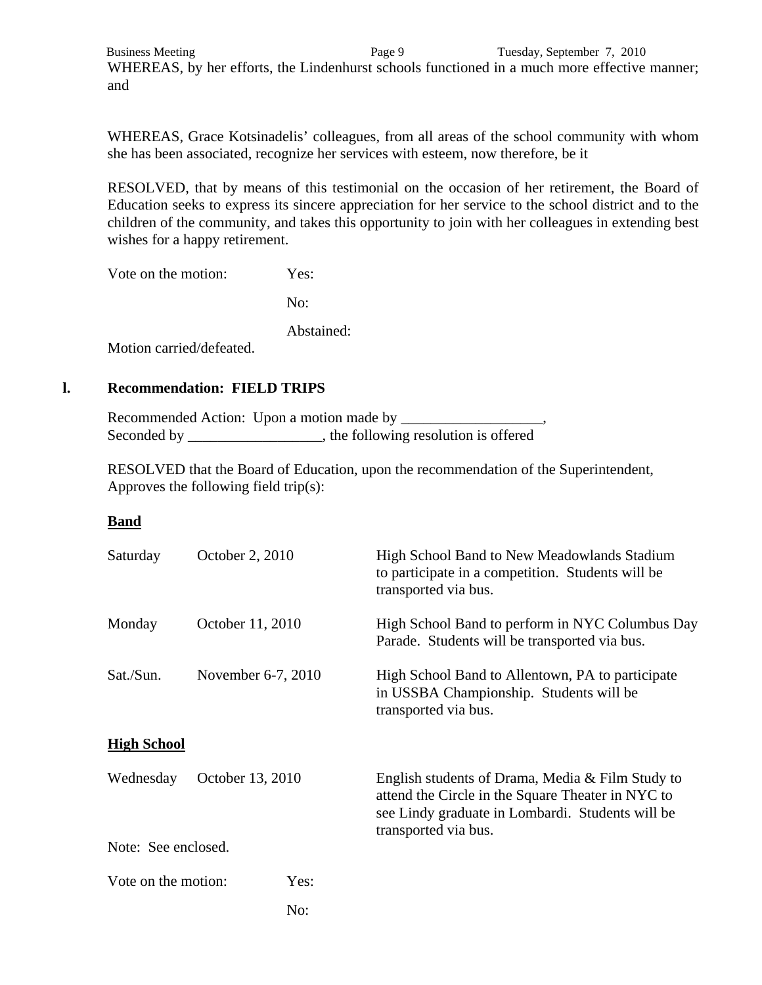Business Meeting Page 9 Tuesday, September 7, 2010 WHEREAS, by her efforts, the Lindenhurst schools functioned in a much more effective manner; and

 WHEREAS, Grace Kotsinadelis' colleagues, from all areas of the school community with whom she has been associated, recognize her services with esteem, now therefore, be it

 RESOLVED, that by means of this testimonial on the occasion of her retirement, the Board of Education seeks to express its sincere appreciation for her service to the school district and to the children of the community, and takes this opportunity to join with her colleagues in extending best wishes for a happy retirement.

Vote on the motion: Yes:

No:

Abstained:

Motion carried/defeated.

#### **l. Recommendation: FIELD TRIPS**

Recommended Action: Upon a motion made by Seconded by \_\_\_\_\_\_\_\_\_\_\_\_\_\_\_, the following resolution is offered

 RESOLVED that the Board of Education, upon the recommendation of the Superintendent, Approves the following field trip(s):

#### **Band**

| Saturday           | October 2, 2010               |                    | High School Band to New Meadowlands Stadium<br>to participate in a competition. Students will be<br>transported via bus.                                                          |  |  |
|--------------------|-------------------------------|--------------------|-----------------------------------------------------------------------------------------------------------------------------------------------------------------------------------|--|--|
| Monday             | October 11, 2010              |                    | High School Band to perform in NYC Columbus Day<br>Parade. Students will be transported via bus.                                                                                  |  |  |
| Sat./Sun.          |                               | November 6-7, 2010 | High School Band to Allentown, PA to participate<br>in USSBA Championship. Students will be<br>transported via bus.                                                               |  |  |
| <b>High School</b> |                               |                    |                                                                                                                                                                                   |  |  |
|                    | Wednesday<br>October 13, 2010 |                    | English students of Drama, Media & Film Study to<br>attend the Circle in the Square Theater in NYC to<br>see Lindy graduate in Lombardi. Students will be<br>transported via bus. |  |  |
|                    | Note: See enclosed.           |                    |                                                                                                                                                                                   |  |  |
|                    | Vote on the motion:           | Yes:               |                                                                                                                                                                                   |  |  |
|                    |                               | No:                |                                                                                                                                                                                   |  |  |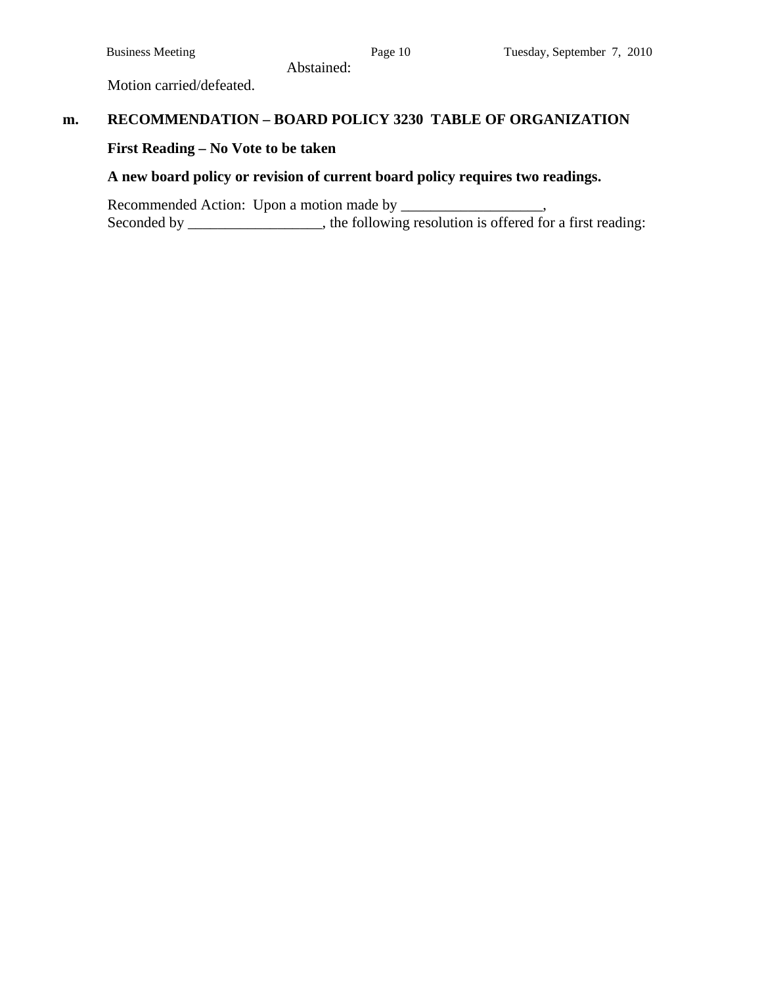Motion carried/defeated.

# **m. RECOMMENDATION – BOARD POLICY 3230 TABLE OF ORGANIZATION**

Abstained:

# **First Reading – No Vote to be taken**

# **A new board policy or revision of current board policy requires two readings.**

 Recommended Action: Upon a motion made by \_\_\_\_\_\_\_\_\_\_\_\_\_\_\_\_\_\_\_, Seconded by \_\_\_\_\_\_\_\_\_\_\_\_\_, the following resolution is offered for a first reading: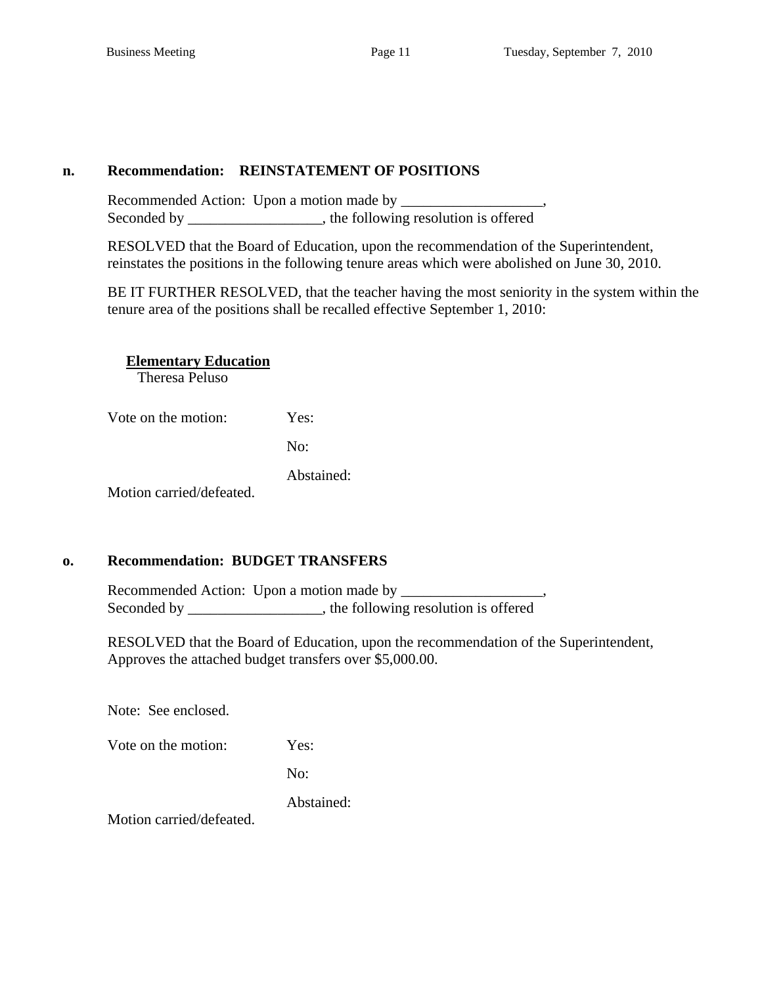# **n. Recommendation: REINSTATEMENT OF POSITIONS**

Recommended Action: Upon a motion made by Seconded by \_\_\_\_\_\_\_\_\_\_\_\_\_\_\_\_, the following resolution is offered

RESOLVED that the Board of Education, upon the recommendation of the Superintendent, reinstates the positions in the following tenure areas which were abolished on June 30, 2010.

BE IT FURTHER RESOLVED, that the teacher having the most seniority in the system within the tenure area of the positions shall be recalled effective September 1, 2010:

**Elementary Education** 

Theresa Peluso

Vote on the motion: Yes:

No:

Abstained:

Motion carried/defeated.

# **o. Recommendation: BUDGET TRANSFERS**

Recommended Action: Upon a motion made by Seconded by \_\_\_\_\_\_\_\_\_\_\_\_\_\_\_, the following resolution is offered

 RESOLVED that the Board of Education, upon the recommendation of the Superintendent, Approves the attached budget transfers over \$5,000.00.

Note: See enclosed.

Vote on the motion: Yes:

No:

Abstained:

Motion carried/defeated.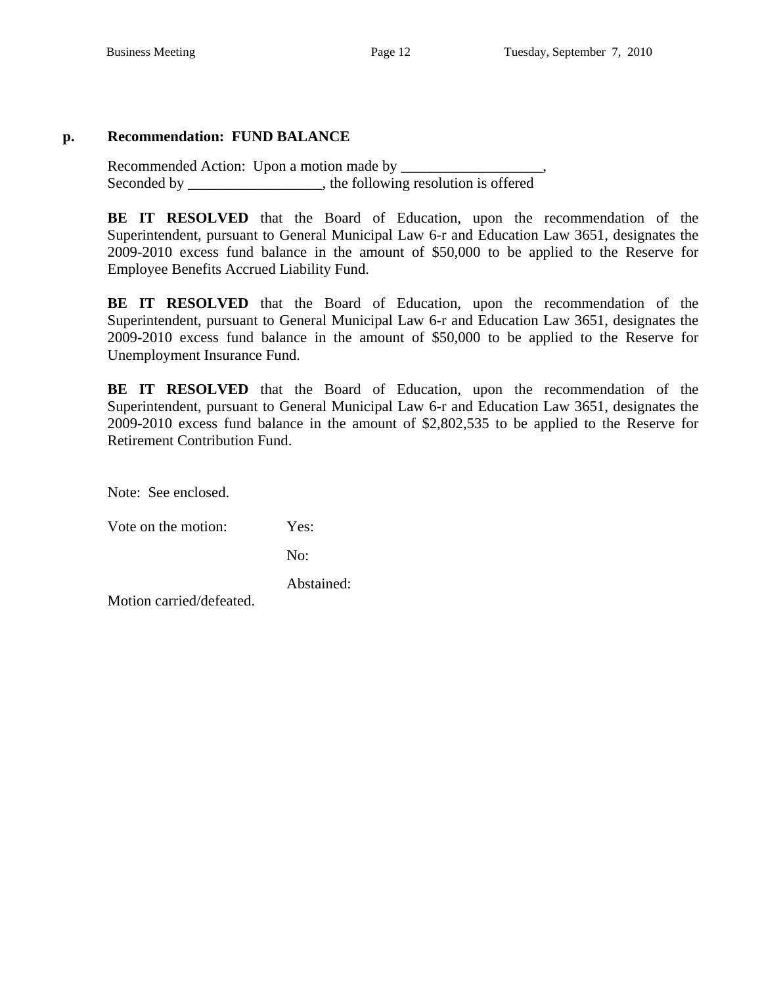# **p. Recommendation: FUND BALANCE**

 Recommended Action: Upon a motion made by \_\_\_\_\_\_\_\_\_\_\_\_\_\_\_\_\_\_\_, Seconded by \_\_\_\_\_\_\_\_\_\_\_\_\_\_\_\_\_, the following resolution is offered

**BE IT RESOLVED** that the Board of Education, upon the recommendation of the Superintendent, pursuant to General Municipal Law 6-r and Education Law 3651, designates the 2009-2010 excess fund balance in the amount of \$50,000 to be applied to the Reserve for Employee Benefits Accrued Liability Fund.

**BE IT RESOLVED** that the Board of Education, upon the recommendation of the Superintendent, pursuant to General Municipal Law 6-r and Education Law 3651, designates the 2009-2010 excess fund balance in the amount of \$50,000 to be applied to the Reserve for Unemployment Insurance Fund.

 **BE IT RESOLVED** that the Board of Education, upon the recommendation of the Superintendent, pursuant to General Municipal Law 6-r and Education Law 3651, designates the 2009-2010 excess fund balance in the amount of \$2,802,535 to be applied to the Reserve for Retirement Contribution Fund.

Note: See enclosed.

Vote on the motion: Yes:

No:

Abstained:

Motion carried/defeated.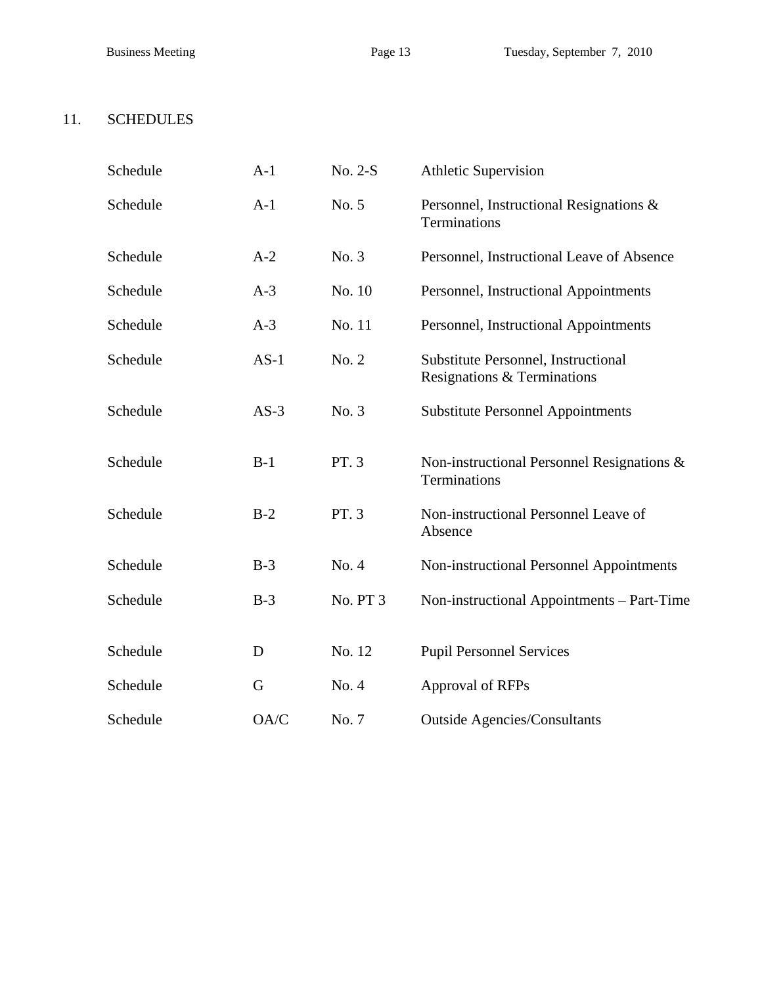# 11. SCHEDULES

| Schedule | $A-1$  | No. 2-S  | <b>Athletic Supervision</b>                                        |
|----------|--------|----------|--------------------------------------------------------------------|
| Schedule | $A-1$  | No. 5    | Personnel, Instructional Resignations &<br>Terminations            |
| Schedule | $A-2$  | No. 3    | Personnel, Instructional Leave of Absence                          |
| Schedule | $A-3$  | No. 10   | Personnel, Instructional Appointments                              |
| Schedule | $A-3$  | No. 11   | Personnel, Instructional Appointments                              |
| Schedule | $AS-1$ | No. 2    | Substitute Personnel, Instructional<br>Resignations & Terminations |
| Schedule | $AS-3$ | No. 3    | <b>Substitute Personnel Appointments</b>                           |
| Schedule | $B-1$  | PT. 3    | Non-instructional Personnel Resignations $\&$<br>Terminations      |
| Schedule | $B-2$  | PT. 3    | Non-instructional Personnel Leave of<br>Absence                    |
| Schedule | $B-3$  | No. 4    | Non-instructional Personnel Appointments                           |
| Schedule | $B-3$  | No. PT 3 | Non-instructional Appointments – Part-Time                         |
| Schedule | D      | No. 12   | <b>Pupil Personnel Services</b>                                    |
| Schedule | G      | No. 4    | Approval of RFPs                                                   |
| Schedule | OA/C   | No. 7    | <b>Outside Agencies/Consultants</b>                                |